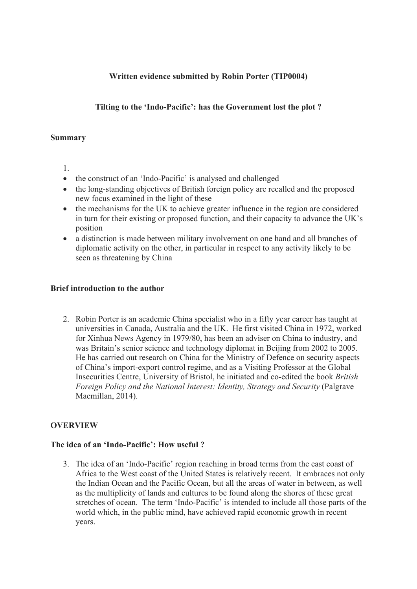# **Written evidence submitted by Robin Porter (TIP0004)**

# **Tilting to the 'Indo-Pacific': has the Government lost the plot ?**

### **Summary**

- 1.
- the construct of an 'Indo-Pacific' is analysed and challenged
- the long-standing objectives of British foreign policy are recalled and the proposed new focus examined in the light of these
- the mechanisms for the UK to achieve greater influence in the region are considered in turn for their existing or proposed function, and their capacity to advance the UK's position
- a distinction is made between military involvement on one hand and all branches of diplomatic activity on the other, in particular in respect to any activity likely to be seen as threatening by China

### **Brief introduction to the author**

2. Robin Porter is an academic China specialist who in a fifty year career has taught at universities in Canada, Australia and the UK. He first visited China in 1972, worked for Xinhua News Agency in 1979/80, has been an adviser on China to industry, and was Britain's senior science and technology diplomat in Beijing from 2002 to 2005. He has carried out research on China for the Ministry of Defence on security aspects of China's import-export control regime, and as a Visiting Professor at the Global Insecurities Centre, University of Bristol, he initiated and co-edited the book *British Foreign Policy and the National Interest: Identity, Strategy and Security* (Palgrave Macmillan, 2014).

# **OVERVIEW**

# **The idea of an 'Indo-Pacific': How useful ?**

3. The idea of an 'Indo-Pacific' region reaching in broad terms from the east coast of Africa to the West coast of the United States is relatively recent. It embraces not only the Indian Ocean and the Pacific Ocean, but all the areas of water in between, as well as the multiplicity of lands and cultures to be found along the shores of these great stretches of ocean. The term 'Indo-Pacific' is intended to include all those parts of the world which, in the public mind, have achieved rapid economic growth in recent years.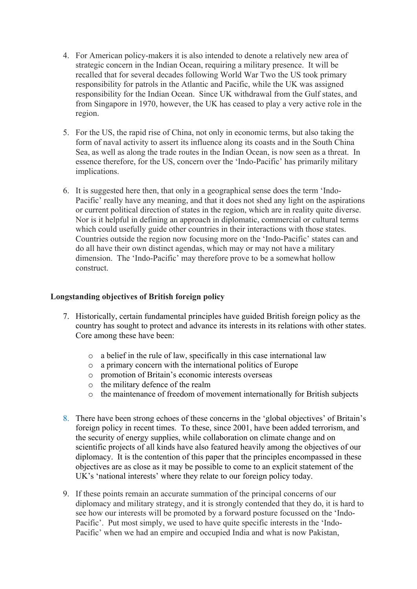- 4. For American policy-makers it is also intended to denote a relatively new area of strategic concern in the Indian Ocean, requiring a military presence. It will be recalled that for several decades following World War Two the US took primary responsibility for patrols in the Atlantic and Pacific, while the UK was assigned responsibility for the Indian Ocean. Since UK withdrawal from the Gulf states, and from Singapore in 1970, however, the UK has ceased to play a very active role in the region.
- 5. For the US, the rapid rise of China, not only in economic terms, but also taking the form of naval activity to assert its influence along its coasts and in the South China Sea, as well as along the trade routes in the Indian Ocean, is now seen as a threat. In essence therefore, for the US, concern over the 'Indo-Pacific' has primarily military implications.
- 6. It is suggested here then, that only in a geographical sense does the term 'Indo-Pacific' really have any meaning, and that it does not shed any light on the aspirations or current political direction of states in the region, which are in reality quite diverse. Nor is it helpful in defining an approach in diplomatic, commercial or cultural terms which could usefully guide other countries in their interactions with those states. Countries outside the region now focusing more on the 'Indo-Pacific' states can and do all have their own distinct agendas, which may or may not have a military dimension. The 'Indo-Pacific' may therefore prove to be a somewhat hollow construct.

# **Longstanding objectives of British foreign policy**

- 7. Historically, certain fundamental principles have guided British foreign policy as the country has sought to protect and advance its interests in its relations with other states. Core among these have been:
	- o a belief in the rule of law, specifically in this case international law
	- o a primary concern with the international politics of Europe
	- o promotion of Britain's economic interests overseas
	- o the military defence of the realm
	- o the maintenance of freedom of movement internationally for British subjects
- 8. There have been strong echoes of these concerns in the 'global objectives' of Britain's foreign policy in recent times. To these, since 2001, have been added terrorism, and the security of energy supplies, while collaboration on climate change and on scientific projects of all kinds have also featured heavily among the objectives of our diplomacy. It is the contention of this paper that the principles encompassed in these objectives are as close as it may be possible to come to an explicit statement of the UK's 'national interests' where they relate to our foreign policy today.
- 9. If these points remain an accurate summation of the principal concerns of our diplomacy and military strategy, and it is strongly contended that they do, it is hard to see how our interests will be promoted by a forward posture focussed on the 'Indo-Pacific'. Put most simply, we used to have quite specific interests in the 'Indo-Pacific' when we had an empire and occupied India and what is now Pakistan,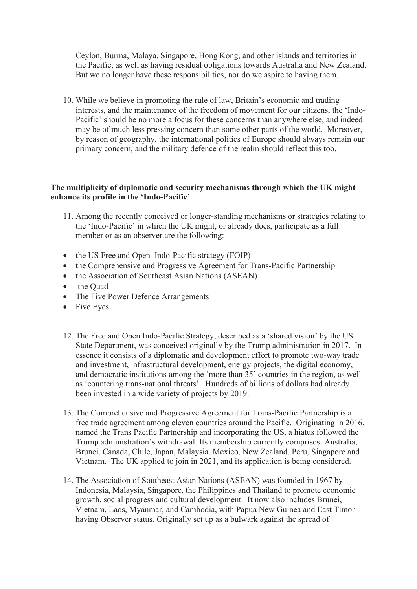Ceylon, Burma, Malaya, Singapore, Hong Kong, and other islands and territories in the Pacific, as well as having residual obligations towards Australia and New Zealand. But we no longer have these responsibilities, nor do we aspire to having them.

10. While we believe in promoting the rule of law, Britain's economic and trading interests, and the maintenance of the freedom of movement for our citizens, the 'Indo-Pacific' should be no more a focus for these concerns than anywhere else, and indeed may be of much less pressing concern than some other parts of the world. Moreover, by reason of geography, the international politics of Europe should always remain our primary concern, and the military defence of the realm should reflect this too.

### **The multiplicity of diplomatic and security mechanisms through which the UK might enhance its profile in the 'Indo-Pacific'**

- 11. Among the recently conceived or longer-standing mechanisms or strategies relating to the 'Indo-Pacific' in which the UK might, or already does, participate as a full member or as an observer are the following:
- the US Free and Open Indo-Pacific strategy (FOIP)
- the Comprehensive and Progressive Agreement for Trans-Pacific Partnership
- the Association of Southeast Asian Nations (ASEAN)
- the Quad
- The Five Power Defence Arrangements
- Five Eyes
- 12. The Free and Open Indo-Pacific Strategy, described as a 'shared vision' by the US State Department, was conceived originally by the Trump administration in 2017. In essence it consists of a diplomatic and development effort to promote two-way trade and investment, infrastructural development, energy projects, the digital economy, and democratic institutions among the 'more than 35' countries in the region, as well as 'countering trans-national threats'. Hundreds of billions of dollars had already been invested in a wide variety of projects by 2019.
- 13. The Comprehensive and Progressive Agreement for Trans-Pacific Partnership is a free trade agreement among eleven countries around the Pacific. Originating in 2016, named the Trans Pacific Partnership and incorporating the US, a hiatus followed the Trump administration's withdrawal. Its membership currently comprises: Australia, Brunei, Canada, Chile, Japan, Malaysia, Mexico, New Zealand, Peru, Singapore and Vietnam. The UK applied to join in 2021, and its application is being considered.
- 14. The Association of Southeast Asian Nations (ASEAN) was founded in 1967 by Indonesia, Malaysia, Singapore, the Philippines and Thailand to promote economic growth, social progress and cultural development. It now also includes Brunei, Vietnam, Laos, Myanmar, and Cambodia, with Papua New Guinea and East Timor having Observer status. Originally set up as a bulwark against the spread of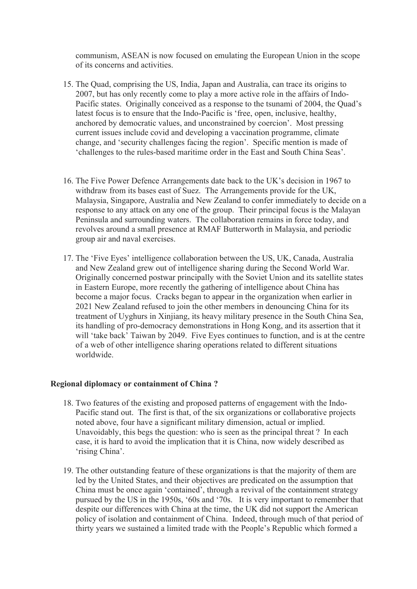communism, ASEAN is now focused on emulating the European Union in the scope of its concerns and activities.

- 15. The Quad, comprising the US, India, Japan and Australia, can trace its origins to 2007, but has only recently come to play a more active role in the affairs of Indo-Pacific states. Originally conceived as a response to the tsunami of 2004, the Quad's latest focus is to ensure that the Indo-Pacific is 'free, open, inclusive, healthy, anchored by democratic values, and unconstrained by coercion'. Most pressing current issues include covid and developing a vaccination programme, climate change, and 'security challenges facing the region'. Specific mention is made of 'challenges to the rules-based maritime order in the East and South China Seas'.
- 16. The Five Power Defence Arrangements date back to the UK's decision in 1967 to withdraw from its bases east of Suez. The Arrangements provide for the UK, Malaysia, Singapore, Australia and New Zealand to confer immediately to decide on a response to any attack on any one of the group. Their principal focus is the Malayan Peninsula and surrounding waters. The collaboration remains in force today, and revolves around a small presence at RMAF Butterworth in Malaysia, and periodic group air and naval exercises.
- 17. The 'Five Eyes' intelligence collaboration between the US, UK, Canada, Australia and New Zealand grew out of intelligence sharing during the Second World War. Originally concerned postwar principally with the Soviet Union and its satellite states in Eastern Europe, more recently the gathering of intelligence about China has become a major focus. Cracks began to appear in the organization when earlier in 2021 New Zealand refused to join the other members in denouncing China for its treatment of Uyghurs in Xinjiang, its heavy military presence in the South China Sea, its handling of pro-democracy demonstrations in Hong Kong, and its assertion that it will 'take back' Taiwan by 2049. Five Eyes continues to function, and is at the centre of a web of other intelligence sharing operations related to different situations worldwide.

#### **Regional diplomacy or containment of China ?**

- 18. Two features of the existing and proposed patterns of engagement with the Indo-Pacific stand out. The first is that, of the six organizations or collaborative projects noted above, four have a significant military dimension, actual or implied. Unavoidably, this begs the question: who is seen as the principal threat ? In each case, it is hard to avoid the implication that it is China, now widely described as 'rising China'.
- 19. The other outstanding feature of these organizations is that the majority of them are led by the United States, and their objectives are predicated on the assumption that China must be once again 'contained', through a revival of the containment strategy pursued by the US in the 1950s, '60s and '70s. It is very important to remember that despite our differences with China at the time, the UK did not support the American policy of isolation and containment of China. Indeed, through much of that period of thirty years we sustained a limited trade with the People's Republic which formed a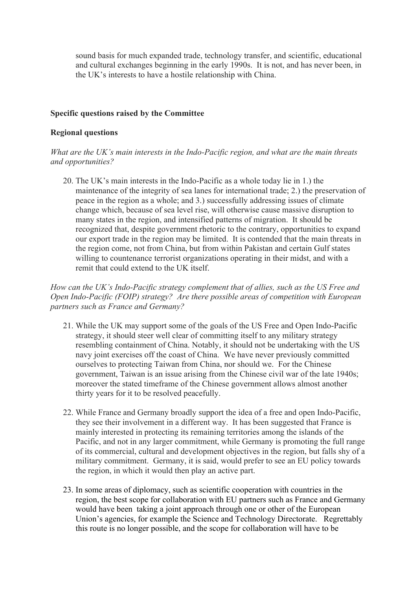sound basis for much expanded trade, technology transfer, and scientific, educational and cultural exchanges beginning in the early 1990s. It is not, and has never been, in the UK's interests to have a hostile relationship with China.

#### **Specific questions raised by the Committee**

#### **Regional questions**

*What are the UK's main interests in the Indo-Pacific region, and what are the main threats and opportunities?*

20. The UK's main interests in the Indo-Pacific as a whole today lie in 1.) the maintenance of the integrity of sea lanes for international trade; 2.) the preservation of peace in the region as a whole; and 3.) successfully addressing issues of climate change which, because of sea level rise, will otherwise cause massive disruption to many states in the region, and intensified patterns of migration. It should be recognized that, despite government rhetoric to the contrary, opportunities to expand our export trade in the region may be limited. It is contended that the main threats in the region come, not from China, but from within Pakistan and certain Gulf states willing to countenance terrorist organizations operating in their midst, and with a remit that could extend to the UK itself.

*How can the UK's Indo-Pacific strategy complement that of allies, such as the US Free and Open Indo-Pacific (FOIP) strategy? Are there possible areas of competition with European partners such as France and Germany?*

- 21. While the UK may support some of the goals of the US Free and Open Indo-Pacific strategy, it should steer well clear of committing itself to any military strategy resembling containment of China. Notably, it should not be undertaking with the US navy joint exercises off the coast of China. We have never previously committed ourselves to protecting Taiwan from China, nor should we. For the Chinese government, Taiwan is an issue arising from the Chinese civil war of the late 1940s; moreover the stated timeframe of the Chinese government allows almost another thirty years for it to be resolved peacefully.
- 22. While France and Germany broadly support the idea of a free and open Indo-Pacific, they see their involvement in a different way. It has been suggested that France is mainly interested in protecting its remaining territories among the islands of the Pacific, and not in any larger commitment, while Germany is promoting the full range of its commercial, cultural and development objectives in the region, but falls shy of a military commitment. Germany, it is said, would prefer to see an EU policy towards the region, in which it would then play an active part.
- 23. In some areas of diplomacy, such as scientific cooperation with countries in the region, the best scope for collaboration with EU partners such as France and Germany would have been taking a joint approach through one or other of the European Union's agencies, for example the Science and Technology Directorate. Regrettably this route is no longer possible, and the scope for collaboration will have to be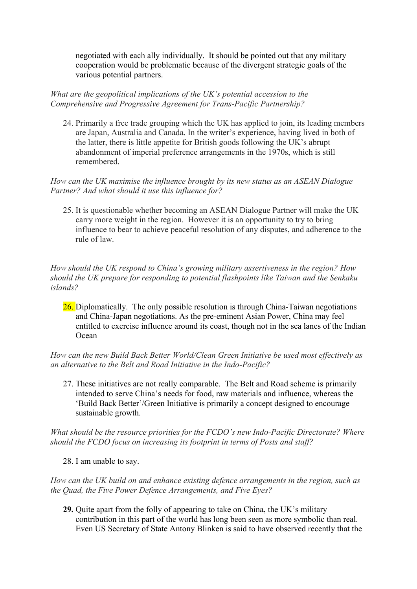negotiated with each ally individually. It should be pointed out that any military cooperation would be problematic because of the divergent strategic goals of the various potential partners.

*What are the geopolitical implications of the UK's potential accession to the Comprehensive and Progressive Agreement for Trans-Pacific Partnership?*

24. Primarily a free trade grouping which the UK has applied to join, its leading members are Japan, Australia and Canada. In the writer's experience, having lived in both of the latter, there is little appetite for British goods following the UK's abrupt abandonment of imperial preference arrangements in the 1970s, which is still remembered.

*How can the UK maximise the influence brought by its new status as an ASEAN Dialogue Partner? And what should it use this influence for?*

25. It is questionable whether becoming an ASEAN Dialogue Partner will make the UK carry more weight in the region. However it is an opportunity to try to bring influence to bear to achieve peaceful resolution of any disputes, and adherence to the rule of law.

*How should the UK respond to China's growing military assertiveness in the region? How should the UK prepare for responding to potential flashpoints like Taiwan and the Senkaku islands?* 

26. Diplomatically. The only possible resolution is through China-Taiwan negotiations and China-Japan negotiations. As the pre-eminent Asian Power, China may feel entitled to exercise influence around its coast, though not in the sea lanes of the Indian Ocean

*How can the new Build Back Better World/Clean Green Initiative be used most effectively as an alternative to the Belt and Road Initiative in the Indo-Pacific?*

27. These initiatives are not really comparable. The Belt and Road scheme is primarily intended to serve China's needs for food, raw materials and influence, whereas the 'Build Back Better'/Green Initiative is primarily a concept designed to encourage sustainable growth.

*What should be the resource priorities for the FCDO's new Indo-Pacific Directorate? Where should the FCDO focus on increasing its footprint in terms of Posts and staff?*

28. I am unable to say.

*How can the UK build on and enhance existing defence arrangements in the region, such as the Quad, the Five Power Defence Arrangements, and Five Eyes?*

**29.** Quite apart from the folly of appearing to take on China, the UK's military contribution in this part of the world has long been seen as more symbolic than real. Even US Secretary of State Antony Blinken is said to have observed recently that the